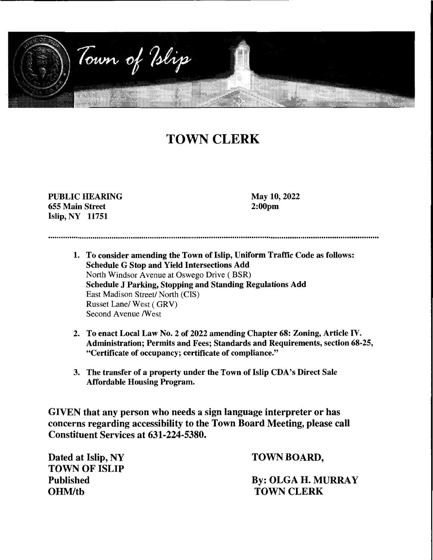

# **TOWN CLERK**

**PUBLIC HEARING**  655 Main Street Islip, NY 11751

May 10, 2022 2:00pm

1. To consider amending the Town of Islip, Uniform Traffic Code as follows: Schedule G Stop and Yield Intersections Add North Windsor Avenue at Oswego Drive ( BSR) Schedule J Parking, Stopping and Standing Regulations Add East Madison Street/ North (CIS) Russet Lane/ West ( GRV) Second Avenue /West

- 2. To enact Local Law No. 2 of 2022 amending Chapter 68: Zoning, Article IV. Administration; Permits and Fees; Standards and Requirements, section 68-25, "Certificate of occupancy; certificate of compliance."
- 3. The transfer of a property under the Town of Islip CDA's Direct Sale Affordable Housing Program.

GIVEN that any person who needs a sign language interpreter or has concerns regarding accessibility to the Town Board Meeting, please call Constituent Services at 631-224-5380.

Dated at Islip, NY TOWN OF ISLIP Published OHM/th

TOWN BOARD,

By: OLGA H. MURRAY TOWN CLERK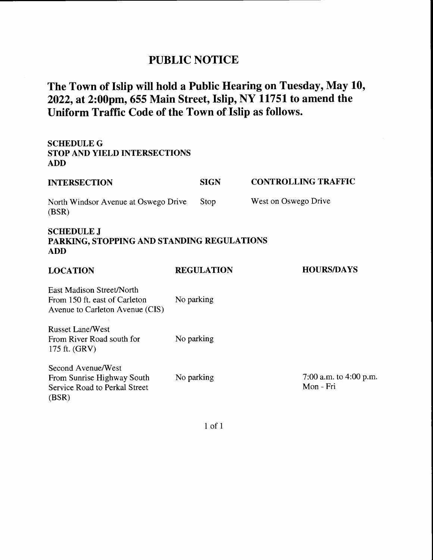## **PUBLIC NOTICE**

# **The Town of Islip will hold a Public Hearing on Tuesday, May 10, 2022, at 2:00pm, 655 Main Street, Islip, NY 11751 to amend the Uniform Traffic Code of the Town of Islip as follows.**

| <b>STOP AND YIELD INTERSECTIONS</b>          |                                            |
|----------------------------------------------|--------------------------------------------|
| <b>SIGN</b>                                  | <b>CONTROLLING TRAFFIC</b>                 |
| Stop<br>North Windsor Avenue at Oswego Drive | West on Oswego Drive                       |
|                                              |                                            |
| <b>REGULATION</b>                            | <b>HOURS/DAYS</b>                          |
| No parking                                   |                                            |
| No parking                                   |                                            |
| No parking                                   | 7:00 a.m. to 4:00 p.m.<br>Mon - Fri        |
|                                              | PARKING, STOPPING AND STANDING REGULATIONS |

1 of 1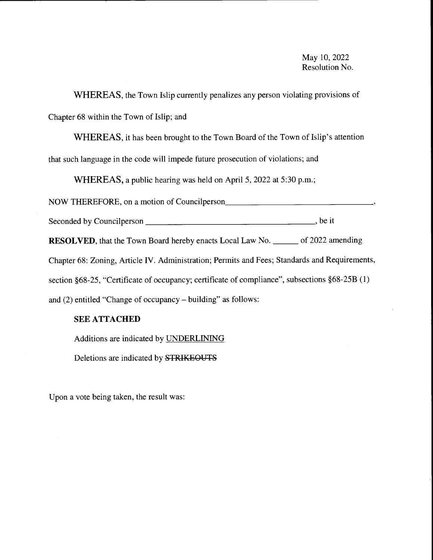**WHEREAS,** the Town Islip currently penalizes any person violating provisions of Chapter 68 within the Town of Islip; and

WHEREAS, it has been brought to the Town Board of the Town of Islip's attention that such language in the code will impede future prosecution of violations; and

**WHEREAS,** a public hearing was held on April 5, 2022 at 5:30 p.m.;

NOW THEREFORE, on a motion of Councilperson \_\_\_\_\_\_\_\_\_\_\_\_\_\_\_ \_

Seconded by Councilperson \_\_\_\_\_\_\_\_\_\_\_\_\_\_\_\_\_\_ , be it

**RESOLVED**, that the Town Board hereby enacts Local Law No. \_\_\_\_\_\_ of 2022 amending

Chapter 68: Zoning, Article IV. Administration; Permits and Fees; Standards and Requirements,

section §68-25, "Certificate of occupancy; certificate of compliance", subsections §68-25B (1)

and (2) entitled "Change of occupancy - building" as follows:

### **SEE ATTACHED**

Additions are indicated by UNDERLINING

Deletions are indicated by STRIKEOUTS

Upon a vote being taken, the result was: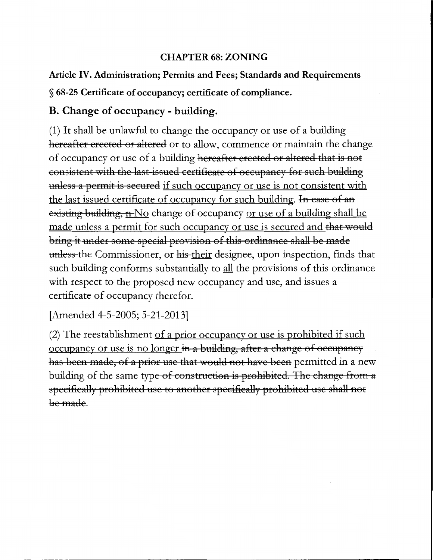### **CHAPTER 68: ZONING**

## **Article IV. Administration; Permits and Fees; Standards and Requirements**

§ **68-25 Certificate of occupancy; certificate of compliance.** 

## **B. Change of occupancy** - **building.**

(1) It shall be unlawful to change the occupancy or use of a building hereafter erected or altered or to allow, commence or maintain the change of occupancy or use of a building hereafter erected or altered that is not consistent with the last issued certificate of occupancy for such building unless a permit is secured if such occupancy or use is not consistent with the last issued certificate of occupancy for such building. In case of an existing building, n-No change of occupancy or use of a building shall be made unless a permit for such occupancy or use is secured and that would bring it under some special provision of this ordinance shall be made unless the Commissioner, or his their designee, upon inspection, finds that such building conforms substantially to all the provisions of this ordinance with respect to the proposed new occupancy and use, and issues a certificate of occupancy therefor.

[Amended 4-5-2005; 5-21-2013]

(2) The reestablishment of a prior occupancy or use is prohibited if such occupancy or use is no longer in a building, after a change of occupancy has been made, of a prior use that would not have been permitted in a new building of the same type-of construction is prohibited. The change from a specifically prohibited use to another specifically prohibited use shall not be made.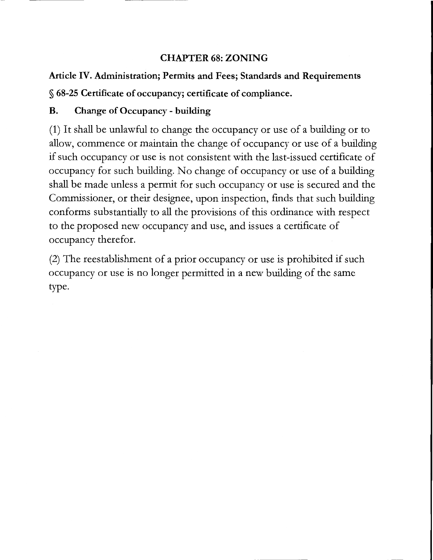## **CHAPTER 68: ZONING**

## **Article IV. Administration; Permits and Fees; Standards and Requirements**

§ **68-25 Certificate of occupancy; certificate of compliance.** 

## **B. Change of Occupancy - building**

(1) It shall be unlawful to change the occupancy or use of a building or to allow, commence or maintain the change of occupancy or use of a building if such occupancy or use is not consistent with the last-issued certificate of occupancy for such building. No change of occupancy or use of a building shall be made unless a permit for such occupancy or use is secured and the Commissioner, or their designee, upon inspection, finds that such building conforms substantially to all the provisions of this ordinance with respect to the proposed new occupancy and use, and issues a certificate of occupancy therefor.

(2) The reestablishment of a prior occupancy or use is prohibited if such occupancy or use is no longer permitted in a new building of the same type.